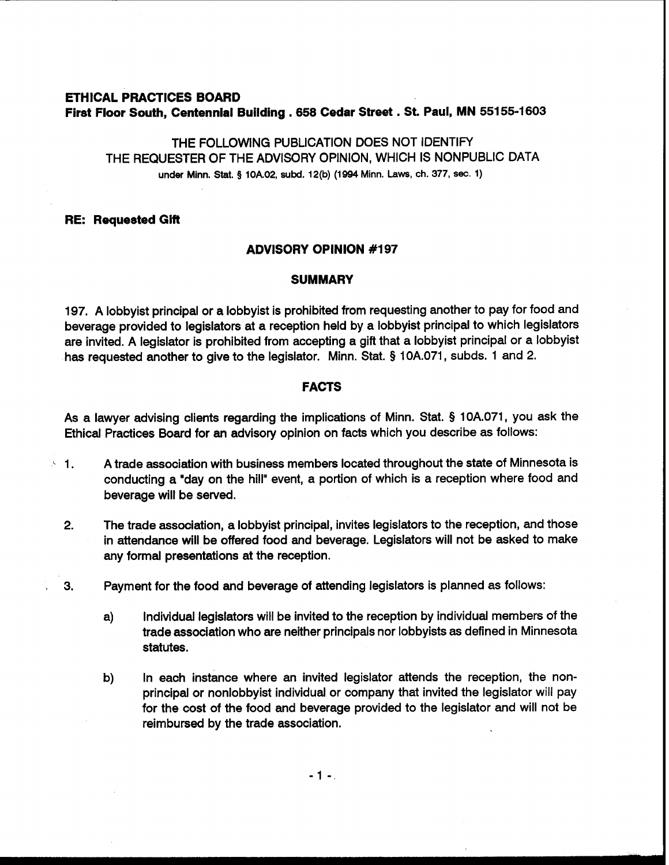# **ETHICAL PRACTICES BOARD First Floor South, Centennial Building** . **658 Cedar Street** . **St. Paul, MN 551 55-1603**

THE FOLLOWING PUBLICATION DOES NOT IDENTIFY THE REQUESTER OF THE ADVISORY OPINION, WHICH IS NONPUBLIC DATA **under Minn.** Stat. **3 10A.02, subd. 12(b) (1994 Minn. Laws, ch. 377, sec. 1)** 

# **RE: Requested Gift**

# **ADVISORY OPINION #I97**

## **SUMMARY**

197. A lobbyist principal or a lobbyist is prohibited from requesting another to pay for food and beverage provided to legislators at a reception held by a lobbyist principal to which legislators are invited. A legislator is prohibited from accepting a gift that a lobbyist principal or a lobbyist has requested another to give to the legislator. Minn. Stat. **5** 10A.071, subds. 1 and 2.

## **FACTS**

As a lawyer advising clients regarding the implications of Minn. Stat. **5** 10A.071, you ask the Ethical Practices Board for an advisory opinion on facts which you describe as follows:

- $\cdot$  1. A trade association with business members located throughout the state of Minnesota is conducting a "day on the hill" event, a portion of which is a reception where food and beverage will be sewed.
	- **2.** The trade association, a lobbyist principal, invites legislators to the reception, and those in attendance will be offered food and beverage. Legislators will not be asked to make any formal presentations at the reception.
	- **3.** Payment for the food and beverage of attending legislators is planned as follows:
		- a) Individual legislators will be invited to the reception by individual members of the trade association who are neither principals nor lobbyists as defined in Minnesota statutes.
		- b) In each instance where an invited legislator attends the reception, the nonprincipal or nonlobbyist individual or company that invited the legislator will pay for the cost of the food and beverage provided to the legislator and will not be reimbursed by the trade association.

 $-1 -$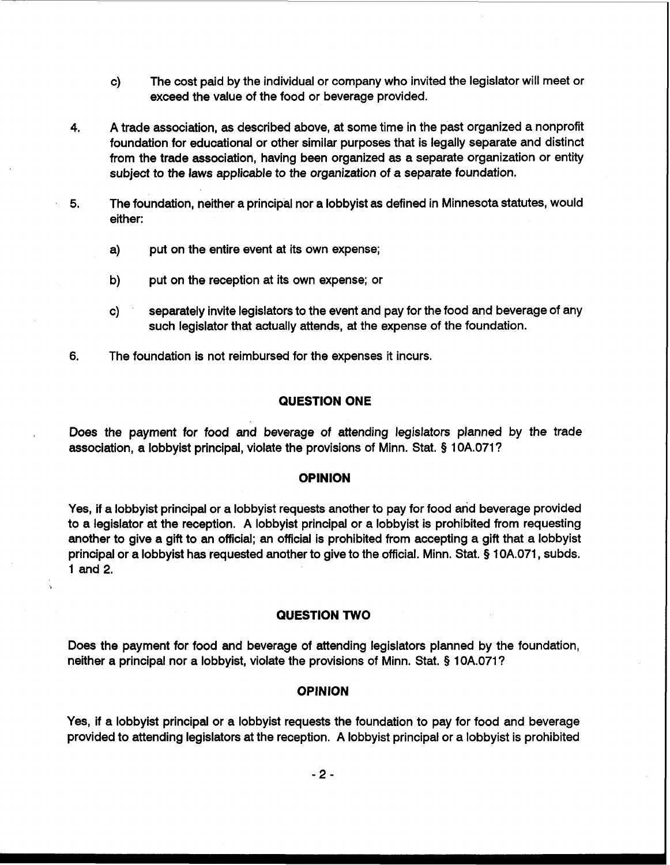- c) The cost paid by the individual or company who invited the legislator will meet or exceed the value of the food or beverage provided.
- **4.** A trade association, **as** described above, at some time in the past organized a nonprofit foundation for educational or other similar purposes that is legally separate and distinct from the trade association, having been organized **as** a separate organization or entity subject to the laws applicable to the organization of a separate foundation.
- **5.** The foundation, neither a principal nor a lobbyist as defined in Minnesota statutes, would either:
	- a) put on the entire event at its own expense;
	- b) put on the reception at its own expense; or
	- c) separately invite legislators to the event and pay for the food and beverage of any such legislator that actually attends, at the expense of the foundation.
- **6.** The foundation is not reimbursed for the expenses it incurs.

## **QUESTION ONE**

Does the payment for food and beverage of attending legislators planned by the trade association, a lobbyist principal, violate the provisions of Minn. Stat. § 10A.071?

## **OPINION**

Yes, if a lobbyist principal or a lobbyist requests another to pay for food and beverage provided to a legislator at the reception. A lobbyist principal or a lobbyist is prohibited from requesting another to give a gift to an official; an official is prohibited from accepting a gift that a lobbyist principal or a lobbyist has requested another to give to the official. Minn. Stat. § 1 OA.071, subds. 1 and 2.

#### **QUESTION TWO**

Does the payment for food and beverage of attending legislators planned by the foundation, neither a principal nor a lobbyist, violate the provisions of Minn. Stat. **Q** 10A.071?

#### **OPINION**

Yes, if a lobbyist principal or a lobbyist requests the foundation to pay for food and beverage provided to attending legislators at the reception. A lobbyist principal or a lobbyist is prohibited

 $-2-$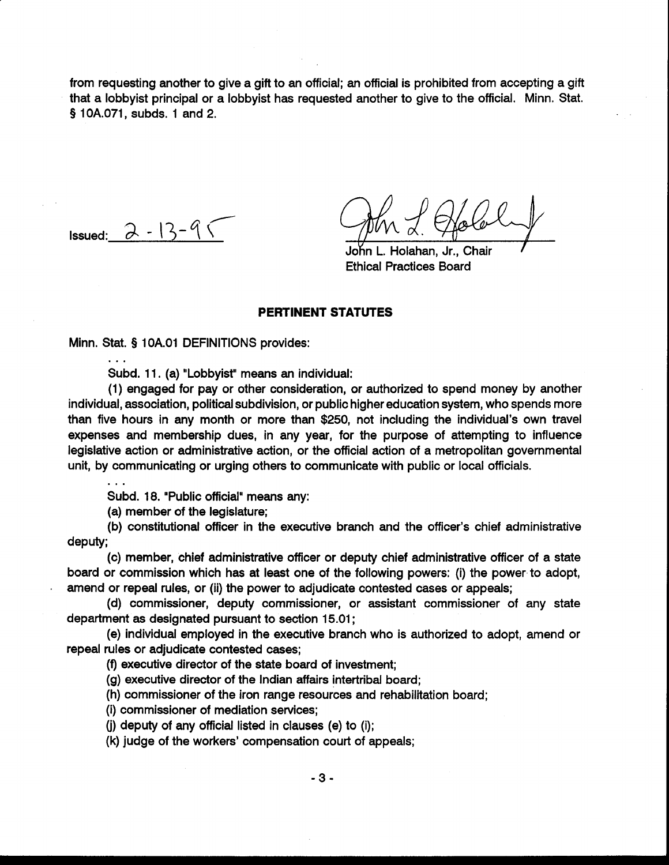from requesting another to give a gift to an official; **an** official is prohibited from accepting a gift that a lobbyist principal or a lobbyist has requested another to give to the official. Minn. Stat. § 10A.071, subds. 1 and 2.

 $\overline{a}$ Issued:  $\partial - 13$ -

Holahan, Jr., Chair Ethical Practices Board

## **PERTINENT STATUTES**

Minn. Stat. § 1 OA.O1 DEFINITIONS provides: ...

Subd. 11. (a) "Lobbyist" means an individual:

(1) engaged for pay or other consideration, or authorized to spend money by another individual, association, political subdivision, or public higher education system, who spends more than five hours in any month or more than \$250, not including the individual's own travel expenses and membership dues, in any year, for the purpose of attempting to influence legislative action or administrative action, or the official action of a metropolitan governmental unit, by communicating or urging others to communicate with public or local officials.

Subd. 18. "Public official" means any:

(a) member of the legislature;

(b) constitutional officer in the executive branch and the officer's chief administrative deputy;

(c) member, chief administrative officer or deputy chief administrative officer of a state board or commission which has at least one of the following powers: (i) the power to adopt, amend or repeal rules, or (ii) the power to adjudicate contested cases or appeals;

(d) commissioner, deputy commissioner, or assistant commissioner of any state department as designated pursuant to section 15.01 ;

(e) individual employed in the executive branch who is authorized to adopt, amend or repeal rules or adjudicate contested cases;

**(9** executive director of the state board of investment;

(g) executive director of the Indian affairs intertribal board;

(h) commissioner of the iron range resources and rehabilitation board;

(i) commissioner of mediation services;

**(j)** deputy of any official listed in clauses (e) to (i);

(k) judge of the workers' compensation court of appeals;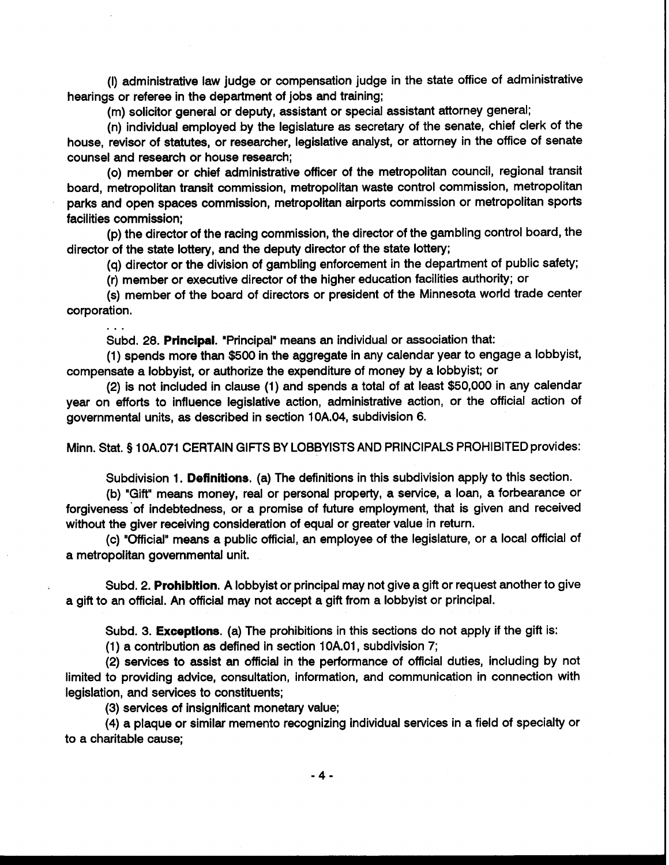(I) administrative law judge or compensation judge in the state office of administrative hearings or referee in the department of jobs and training;

(m) solicitor general or deputy, assistant or special assistant attorney general;

(n) individual employed by the legislature as secretary of the senate, chief clerk of the house, revisor of statutes, or researcher, legislative analyst, or attorney in the office of senate counsel and research or house research;

(0) member or chief administrative officer of the metropolitan council, regional transit board, metropolitan transit commission, metropolitan waste control commission, metropolitan parks and open spaces commission, metropolitan airports commission or metropolitan sports facilities commission;

(p) the director of the racing commission, the director of the gambling control board, the director of the state lottery, and the deputy director of the state lottery;

(q) director or the division of gambling enforcement in the department of public safety;

(r) member or executive director of the higher education facilities authority; or

(s) member of the board of directors or president of the Minnesota world trade center corporation.

Subd. 28. **Principal.** "Principal" means an individual or association that:

(1) spends more than \$500 in the aggregate in any calendar year to engage a lobbyist, compensate a lobbyist, or authorize the expenditure of money by a lobbyist; or

(2) is not included in clause (1) and spends a total of at least \$50,000 in any calendar year on efforts to influence legislative action, administrative action, or the official action of governmental units, as described in section 10A.04, subdivision 6.

Minn. Stat. § 10A.071 CERTAIN GIFTS BY LOBBYISTS AND PRINCIPALS PROHIBITED provides:

Subdivision 1. **Definitions.** (a) The definitions in this subdivision apply to this section.

(b) "Gift" means money, real or personal property, a service, a loan, a forbearance or forgiveness'of indebtedness, or a promise of future employment, that is given and received without the giver receiving consideration of equal or greater value in return.

(c) "Official" means a public official, an employee of the legislature, or a local official of a metropolitan governmental unit.

Subd. 2. **Prohibition.** A lobbyist or principal may not give a gift or request another to give a gift to an official. An official may not accept a gift from a lobbyist or principal.

Subd. 3. **Exceptions.** (a) The prohibitions in this sections do not apply if the gift is:

(1) a contribution as defined in section 10A.01, subdivision 7;

(2) services to assist an official in the performance of official duties, including by not limited to providing advice, consultation, information, and communication in connection with legislation, and services to constituents;

(3) services of insignificant monetary value;

. . .

(4) a plaque or similar memento recognizing individual services in a field of specialty or to a charitable cause;